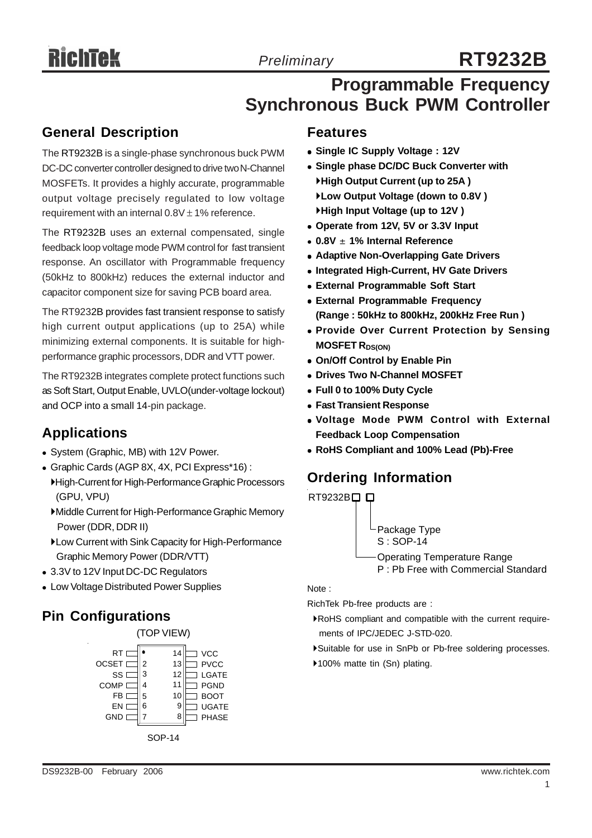# **RT9232B**

# **Programmable Frequency Synchronous Buck PWM Controller**

# **General Description**

The RT9232B is a single-phase synchronous buck PWM DC-DC converter controller designed to drive two N-Channel MOSFETs. It provides a highly accurate, programmable output voltage precisely regulated to low voltage requirement with an internal  $0.8V \pm 1\%$  reference.

The RT9232B uses an external compensated, single feedback loop voltage mode PWM control for fast transient response. An oscillator with Programmable frequency (50kHz to 800kHz) reduces the external inductor and capacitor component size for saving PCB board area.

The RT9232B provides fast transient response to satisfy high current output applications (up to 25A) while minimizing external components. It is suitable for highperformance graphic processors, DDR and VTT power.

The RT9232B integrates complete protect functions such as Soft Start, Output Enable, UVLO(under-voltage lockout) and OCP into a small 14-pin package.

# **Applications**

- System (Graphic, MB) with 12V Power.
- <sup>z</sup> Graphic Cards (AGP 8X, 4X, PCI Express\*16) :
	- `High-Current for High-Performance Graphic Processors (GPU, VPU)
	- `Middle Current for High-Performance Graphic Memory Power (DDR, DDR II)
	- `Low Current with Sink Capacity for High-Performance Graphic Memory Power (DDR/VTT)
- 3.3V to 12V Input DC-DC Regulators
- Low Voltage Distributed Power Supplies

# **Pin Configurations**



# **Features**

- <sup>z</sup> **Single IC Supply Voltage : 12V**
- **Single phase DC/DC Buck Converter with** `**High Output Current (up to 25A )** `**Low Output Voltage (down to 0.8V )** `**High Input Voltage (up to 12V )**
- Operate from 12V, 5V or 3.3V Input
- <sup>z</sup> **0.8V** ± **1% Internal Reference**
- **Adaptive Non-Overlapping Gate Drivers**
- $\bullet$  **Integrated High-Current, HV Gate Drivers**
- **External Programmable Soft Start**
- **External Programmable Frequency (Range : 50kHz to 800kHz, 200kHz Free Run )**
- **Provide Over Current Protection by Sensing MOSFET RDS(ON)**
- **On/Off Control by Enable Pin**
- **Drives Two N-Channel MOSFET**
- <sup>z</sup> **Full 0 to 100% Duty Cycle**
- **Fast Transient Response**
- <sup>z</sup> **Voltage Mode PWM Control with External Feedback Loop Compensation**
- <sup>z</sup> **RoHS Compliant and 100% Lead (Pb)-Free**

# **Ordering Information**



Note :

RichTek Pb-free products are :

- `RoHS compliant and compatible with the current require ments of IPC/JEDEC J-STD-020.
- `Suitable for use in SnPb or Pb-free soldering processes.
- ▶100% matte tin (Sn) plating.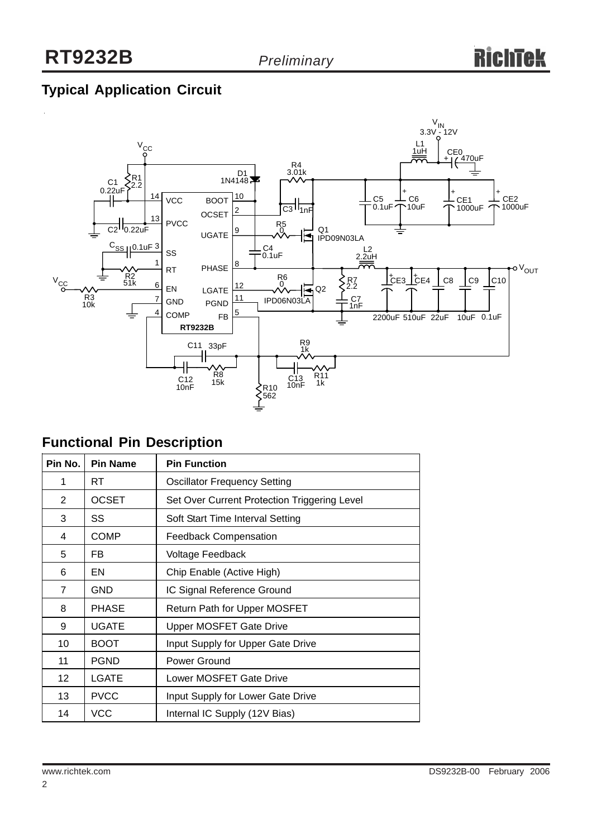# **Typical Application Circuit**



# **Functional Pin Description**

| Pin No.        | <b>Pin Name</b> | <b>Pin Function</b>                          |  |  |
|----------------|-----------------|----------------------------------------------|--|--|
| 1              | RT.             | <b>Oscillator Frequency Setting</b>          |  |  |
| $\overline{2}$ | <b>OCSET</b>    | Set Over Current Protection Triggering Level |  |  |
| 3              | SS              | Soft Start Time Interval Setting             |  |  |
| 4              | <b>COMP</b>     | <b>Feedback Compensation</b>                 |  |  |
| 5              | FB.             | Voltage Feedback                             |  |  |
| 6              | EN              | Chip Enable (Active High)                    |  |  |
| $\overline{7}$ | <b>GND</b>      | IC Signal Reference Ground                   |  |  |
| 8              | <b>PHASE</b>    | <b>Return Path for Upper MOSFET</b>          |  |  |
| 9              | <b>UGATE</b>    | <b>Upper MOSFET Gate Drive</b>               |  |  |
| 10             | <b>BOOT</b>     | Input Supply for Upper Gate Drive            |  |  |
| 11             | <b>PGND</b>     | Power Ground                                 |  |  |
| 12             | <b>LGATE</b>    | Lower MOSFET Gate Drive                      |  |  |
| 13             | <b>PVCC</b>     | Input Supply for Lower Gate Drive            |  |  |
| 14             | <b>VCC</b>      | Internal IC Supply (12V Bias)                |  |  |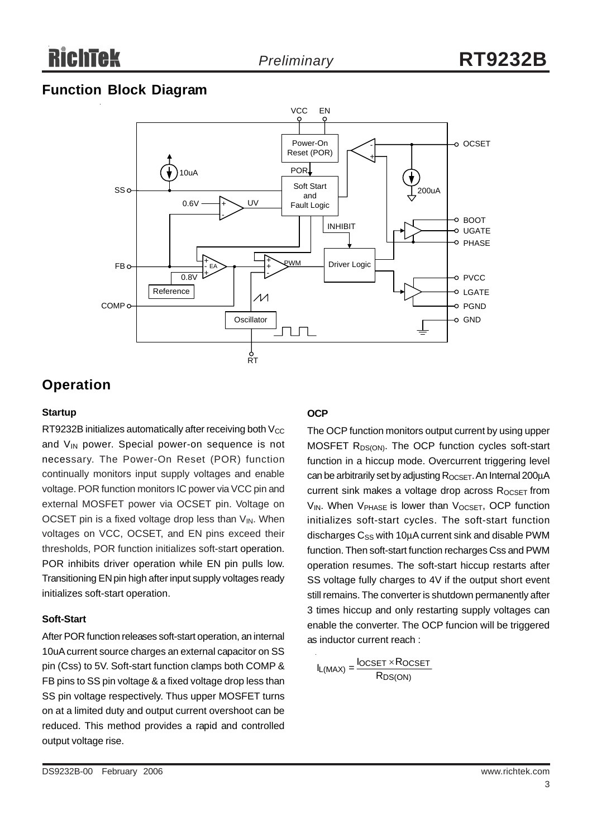# **Function Block Diagram**



# **Operation**

#### **Startup**

RT9232B initializes automatically after receiving both  $V_{CC}$ and  $V_{IN}$  power. Special power-on sequence is not necessary. The Power-On Reset (POR) function continually monitors input supply voltages and enable voltage. POR function monitors IC power via VCC pin and external MOSFET power via OCSET pin. Voltage on OCSET pin is a fixed voltage drop less than  $V_{IN}$ . When voltages on VCC, OCSET, and EN pins exceed their thresholds, POR function initializes soft-start operation. POR inhibits driver operation while EN pin pulls low. Transitioning EN pin high after input supply voltages ready initializes soft-start operation.

#### **Soft-Start**

After POR function releases soft-start operation, an internal 10uA current source charges an external capacitor on SS pin (Css) to 5V. Soft-start function clamps both COMP & FB pins to SS pin voltage & a fixed voltage drop less than SS pin voltage respectively. Thus upper MOSFET turns on at a limited duty and output current overshoot can be reduced. This method provides a rapid and controlled output voltage rise.

#### **OCP**

The OCP function monitors output current by using upper MOSFET R<sub>DS(ON)</sub>. The OCP function cycles soft-start function in a hiccup mode. Overcurrent triggering level can be arbitrarily set by adjusting R<sub>OCSET</sub>. An Internal 200μA current sink makes a voltage drop across  $R_{OCSET}$  from V<sub>IN</sub>. When V<sub>PHASE</sub> is lower than V<sub>OCSET</sub>, OCP function initializes soft-start cycles. The soft-start function discharges  $C_{SS}$  with 10 $\mu$ A current sink and disable PWM function. Then soft-start function recharges Css and PWM operation resumes. The soft-start hiccup restarts after SS voltage fully charges to 4V if the output short event still remains. The converter is shutdown permanently after 3 times hiccup and only restarting supply voltages can enable the converter. The OCP funcion will be triggered as inductor current reach :

$$
I_{L(MAX)} = \frac{I_{OCSET} \times R_{OCSET}}{R_{DS(ON)}}
$$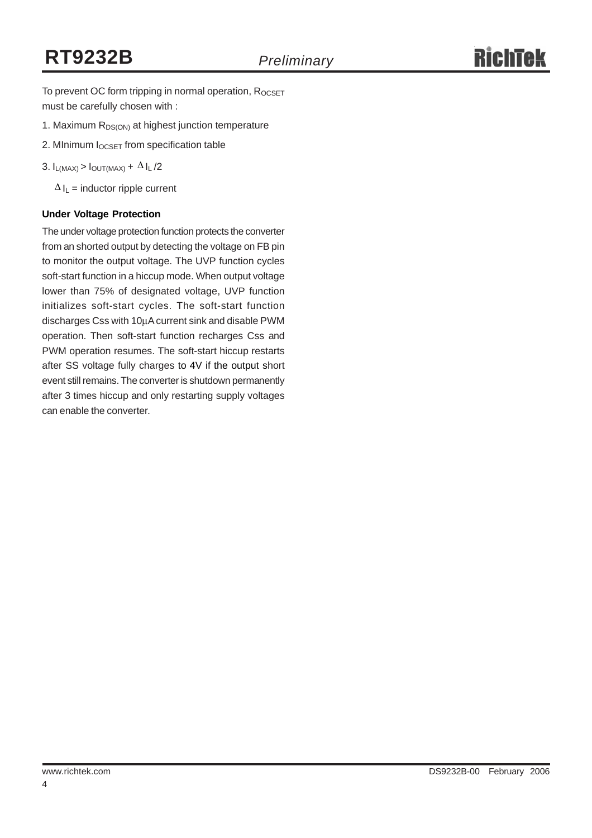To prevent OC form tripping in normal operation, ROCSET must be carefully chosen with :

- 1. Maximum  $R_{DS(ON)}$  at highest junction temperature
- 2. MInimum I<sub>OCSET</sub> from specification table
- 3.  $I_{L(MAX)} > I_{OUT(MAX)} + \Delta I_L/2$

 $\Delta I_L$  = inductor ripple current

#### **Under Voltage Protection**

The under voltage protection function protects the converter from an shorted output by detecting the voltage on FB pin to monitor the output voltage. The UVP function cycles soft-start function in a hiccup mode. When output voltage lower than 75% of designated voltage, UVP function initializes soft-start cycles. The soft-start function discharges Css with 10μA current sink and disable PWM operation. Then soft-start function recharges Css and PWM operation resumes. The soft-start hiccup restarts after SS voltage fully charges to 4V if the output short event still remains. The converter is shutdown permanently after 3 times hiccup and only restarting supply voltages can enable the converter.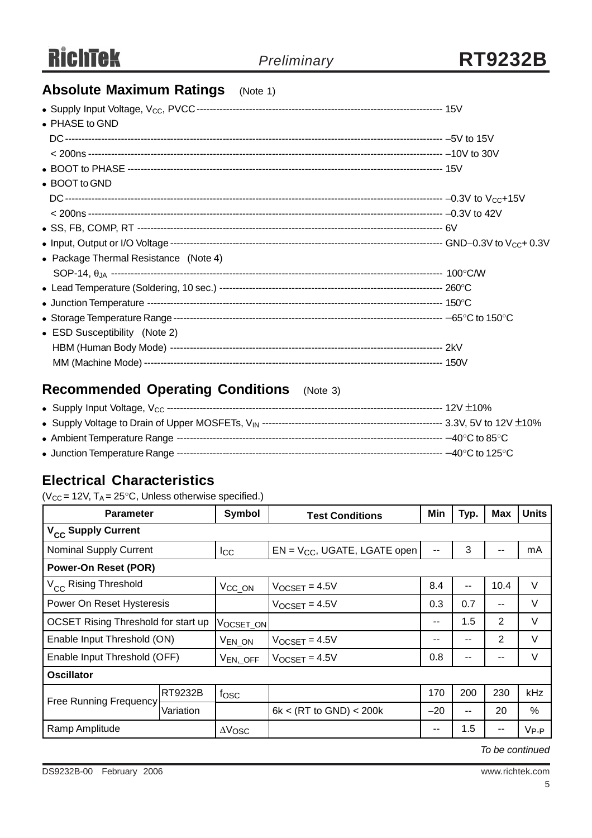# **Absolute Maximum Ratings** (Note 1)

| $\bullet$ PHASE to GND                |  |
|---------------------------------------|--|
|                                       |  |
|                                       |  |
|                                       |  |
| • BOOT to GND                         |  |
|                                       |  |
|                                       |  |
|                                       |  |
|                                       |  |
| • Package Thermal Resistance (Note 4) |  |
|                                       |  |
|                                       |  |
|                                       |  |
|                                       |  |
| • ESD Susceptibility (Note 2)         |  |
|                                       |  |
|                                       |  |

# **Recommended Operating Conditions** (Note 3)

# **Electrical Characteristics**

( $V_{CC}$  = 12V,  $T_A$  = 25°C, Unless otherwise specified.)

| <b>Parameter</b>                    |           | Symbol             | <b>Test Conditions</b>            | Min   | Typ.                     | <b>Max</b>    | <b>Units</b> |
|-------------------------------------|-----------|--------------------|-----------------------------------|-------|--------------------------|---------------|--------------|
| V <sub>CC</sub> Supply Current      |           |                    |                                   |       |                          |               |              |
| Nominal Supply Current              |           | $_{\text{Lcc}}$    | $EN = V_{CC}$ , UGATE, LGATE open | --    | 3                        |               | mA           |
| <b>Power-On Reset (POR)</b>         |           |                    |                                   |       |                          |               |              |
| V <sub>CC</sub> Rising Threshold    |           | V <sub>CC_ON</sub> | $V$ OCSET = 4.5V                  | 8.4   | $\overline{\phantom{a}}$ | 10.4          | $\vee$       |
| Power On Reset Hysteresis           |           |                    | $V$ <sub>OCSET</sub> = 4.5V       | 0.3   | 0.7                      | $\sim$ $\sim$ | V            |
| OCSET Rising Threshold for start up |           | VOCSET_ON          |                                   | --    | 1.5                      | 2             | $\vee$       |
| Enable Input Threshold (ON)         |           | V <sub>EN_ON</sub> | $V_{OCSET} = 4.5V$                | --    | $- -$                    | $\mathbf{2}$  | V            |
| Enable Input Threshold (OFF)        |           | $V_{EN, \_$ OFF    | $V$ OCSET = 4.5V                  | 0.8   | --                       | --            | V            |
| <b>Oscillator</b>                   |           |                    |                                   |       |                          |               |              |
| <b>Free Running Frequency</b>       | RT9232B   | fosc               |                                   | 170   | 200                      | 230           | kHz          |
|                                     | Variation |                    | 6k < (RT to GND) < 200k           | $-20$ | $\sim$ $\sim$            | 20            | $\%$         |
| Ramp Amplitude                      |           | $\Delta V$ OSC     |                                   | --    | $1.5\,$                  |               | $V_{P-P}$    |

*To be continued*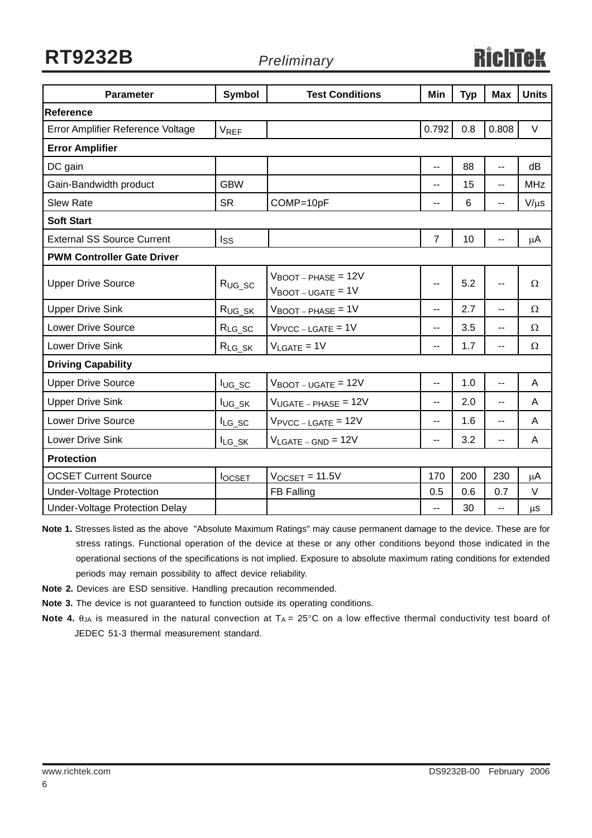**RT9232B**

*Preliminary*

# RichTek

| <b>Parameter</b>                  | <b>Symbol</b> | <b>Test Conditions</b>                                                      | Min            | <b>Typ</b> | <b>Max</b>     | <b>Units</b> |  |  |
|-----------------------------------|---------------|-----------------------------------------------------------------------------|----------------|------------|----------------|--------------|--|--|
| Reference                         |               |                                                                             |                |            |                |              |  |  |
| Error Amplifier Reference Voltage | <b>VREF</b>   |                                                                             | 0.792          | 0.8        | 0.808          | $\vee$       |  |  |
| <b>Error Amplifier</b>            |               |                                                                             |                |            |                |              |  |  |
| DC gain                           |               |                                                                             | $\overline{a}$ | 88         | 44             | dB           |  |  |
| Gain-Bandwidth product            | <b>GBW</b>    |                                                                             | --             | 15         | $\overline{a}$ | <b>MHz</b>   |  |  |
| <b>Slew Rate</b>                  | <b>SR</b>     | COMP=10pF                                                                   | ۰.             | 6          | ۰.             | $V/\mu s$    |  |  |
| <b>Soft Start</b>                 |               |                                                                             |                |            |                |              |  |  |
| <b>External SS Source Current</b> | Iss           |                                                                             | $\overline{7}$ | 10         |                | μA           |  |  |
| <b>PWM Controller Gate Driver</b> |               |                                                                             |                |            |                |              |  |  |
| <b>Upper Drive Source</b>         | $R_{UG\_SC}$  | $V_{\text{BOOT}-\text{PHASE}} = 12V$<br>$V_{\text{BOOT}-\text{UGATE}} = 1V$ | --             | 5.2        | --             | Ω            |  |  |
| <b>Upper Drive Sink</b>           | $R_{UG\_SK}$  | $V_{\text{BOOT}-\text{PHASE}} = 1V$                                         | --             | 2.7        | $\overline{a}$ | Ω            |  |  |
| <b>Lower Drive Source</b>         | $R_{LG\_SC}$  | $V_{\text{PVCC} - \text{LGATE}} = 1V$                                       | $\overline{a}$ | 3.5        | $\overline{a}$ | Ω            |  |  |
| Lower Drive Sink                  | $R_{LG_SK}$   | $V_{LGATE} = 1V$                                                            | $\overline{a}$ | 1.7        | $\overline{a}$ | Ω            |  |  |
| <b>Driving Capability</b>         |               |                                                                             |                |            |                |              |  |  |
| <b>Upper Drive Source</b>         | $I_{UG\_SC}$  | $V_{\text{BOOT}-\text{UGATE}} = 12V$                                        | ۰.             | 1.0        | $\overline{a}$ | A            |  |  |
| <b>Upper Drive Sink</b>           | lug_sk        | $V_{UGATE - PHASE} = 12V$                                                   | $\overline{a}$ | 2.0        | $\overline{a}$ | A            |  |  |
| <b>Lower Drive Source</b>         | $I_{LG\_SC}$  | $V_{\text{PVCC} - \text{LGATE}} = 12V$                                      | $\overline{a}$ | 1.6        | $\overline{a}$ | A            |  |  |
| <b>Lower Drive Sink</b>           | ILG_SK        | $V_{LGATE - GND} = 12V$                                                     | $\overline{a}$ | 3.2        | --             | A            |  |  |
| <b>Protection</b>                 |               |                                                                             |                |            |                |              |  |  |
| <b>OCSET Current Source</b>       | <b>locsET</b> | $V$ <sub>OCSET</sub> = 11.5 $V$                                             | 170            | 200        | 230            | μA           |  |  |
| <b>Under-Voltage Protection</b>   |               | FB Falling                                                                  | 0.5            | 0.6        | 0.7            | V            |  |  |
| Under-Voltage Protection Delay    |               |                                                                             | $\overline{a}$ | 30         | $\overline{a}$ | μS           |  |  |

**Note 1.** Stresses listed as the above "Absolute Maximum Ratings" may cause permanent damage to the device. These are for stress ratings. Functional operation of the device at these or any other conditions beyond those indicated in the operational sections of the specifications is not implied. Exposure to absolute maximum rating conditions for extended periods may remain possibility to affect device reliability.

- **Note 2.** Devices are ESD sensitive. Handling precaution recommended.
- **Note 3.** The device is not guaranteed to function outside its operating conditions.
- **Note 4.** θ<sub>JA</sub> is measured in the natural convection at T<sub>A</sub> = 25°C on a low effective thermal conductivity test board of JEDEC 51-3 thermal measurement standard.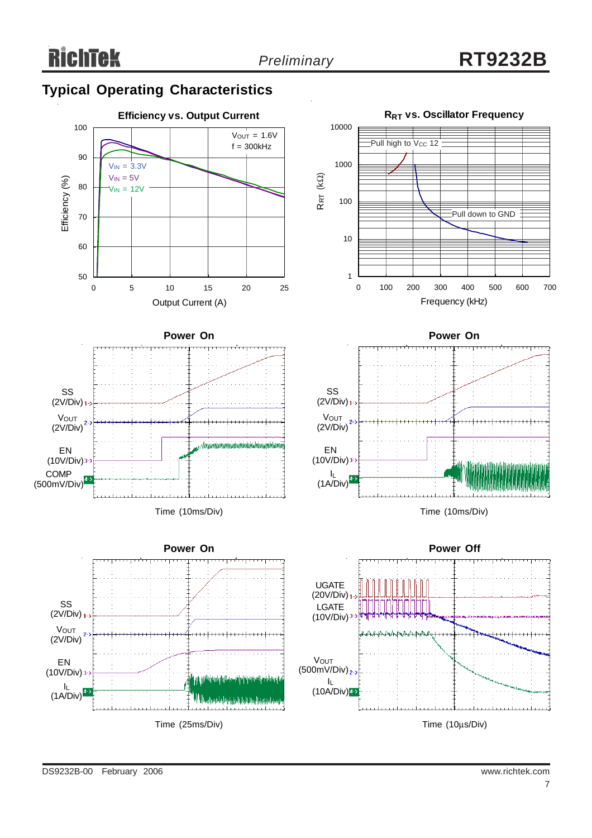# **Typical Operating Characteristics**

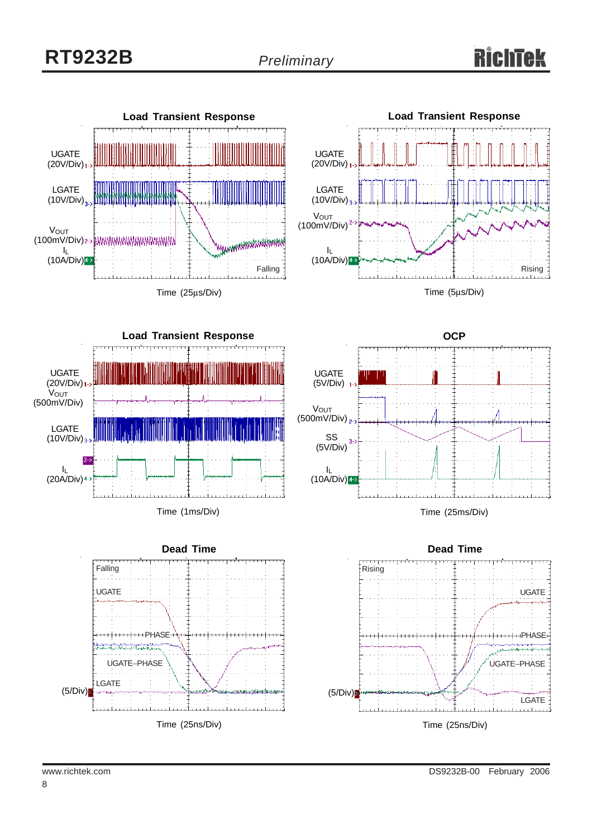

Time (1ms/Div)









Time (25ms/Div)

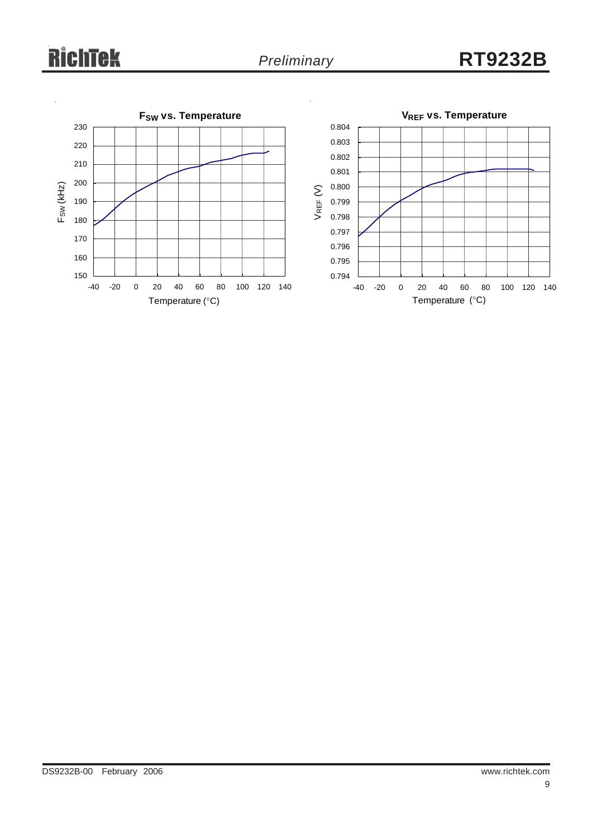# **RichTek**

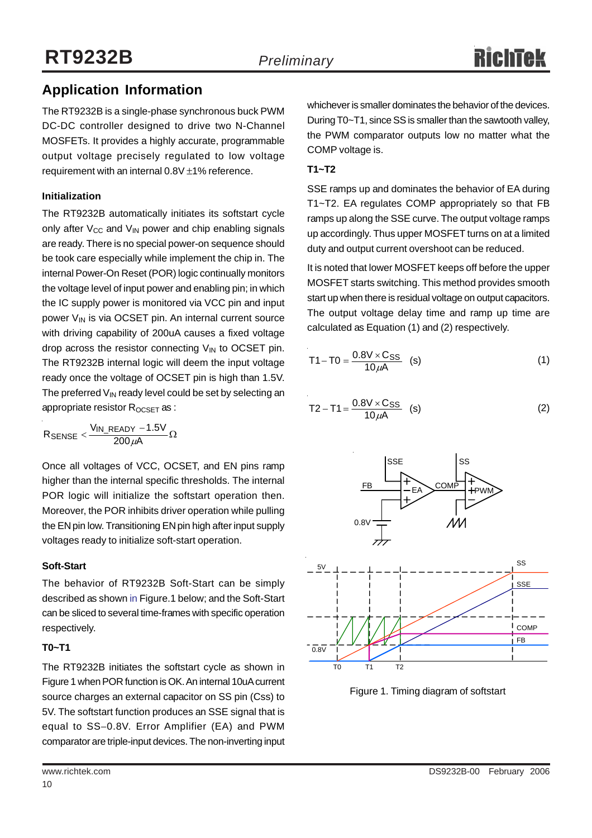# **Application Information**

The RT9232B is a single-phase synchronous buck PWM DC-DC controller designed to drive two N-Channel MOSFETs. It provides a highly accurate, programmable output voltage precisely regulated to low voltage requirement with an internal 0.8V ±1% reference.

### **Initialization**

The RT9232B automatically initiates its softstart cycle only after  $V_{CC}$  and  $V_{IN}$  power and chip enabling signals are ready. There is no special power-on sequence should be took care especially while implement the chip in. The internal Power-On Reset (POR) logic continually monitors the voltage level of input power and enabling pin; in which the IC supply power is monitored via VCC pin and input power  $V_{IN}$  is via OCSET pin. An internal current source with driving capability of 200uA causes a fixed voltage drop across the resistor connecting  $V_{IN}$  to OCSET pin. The RT9232B internal logic will deem the input voltage ready once the voltage of OCSET pin is high than 1.5V. The preferred  $V_{\text{IN}}$  ready level could be set by selecting an appropriate resistor R<sub>OCSET</sub> as :

 ${\sf R}_{\sf SENSE} < \frac{{\sf V}_{\sf IN\_READV} - 1.5 {\sf V}}{200\,\mu{\sf A}}\Omega$ 

Once all voltages of VCC, OCSET, and EN pins ramp higher than the internal specific thresholds. The internal POR logic will initialize the softstart operation then. Moreover, the POR inhibits driver operation while pulling the EN pin low. Transitioning EN pin high after input supply voltages ready to initialize soft-start operation.

# **Soft-Start**

The behavior of RT9232B Soft-Start can be simply described as shown in Figure.1 below; and the Soft-Start can be sliced to several time-frames with specific operation respectively.

### **T0~T1**

The RT9232B initiates the softstart cycle as shown in Figure 1 when POR function is OK. An internal 10uA current source charges an external capacitor on SS pin (Css) to 5V. The softstart function produces an SSE signal that is equal to SS−0.8V. Error Amplifier (EA) and PWM comparator are triple-input devices. The non-inverting input

whichever is smaller dominates the behavior of the devices. During T0~T1, since SS is smaller than the sawtooth valley, the PWM comparator outputs low no matter what the COMP voltage is.

## **T1~T2**

SSE ramps up and dominates the behavior of EA during T1~T2. EA regulates COMP appropriately so that FB ramps up along the SSE curve. The output voltage ramps up accordingly. Thus upper MOSFET turns on at a limited duty and output current overshoot can be reduced.

It is noted that lower MOSFET keeps off before the upper MOSFET starts switching. This method provides smooth start up when there is residual voltage on output capacitors. The output voltage delay time and ramp up time are calculated as Equation (1) and (2) respectively.

$$
T1 - T0 = \frac{0.8V \times C_{SS}}{10 \mu A}
$$
 (s) (1)

$$
T2 - T1 = \frac{0.8V \times C_{SS}}{10 \mu A}
$$
 (s) (2)



Figure 1. Timing diagram of softstart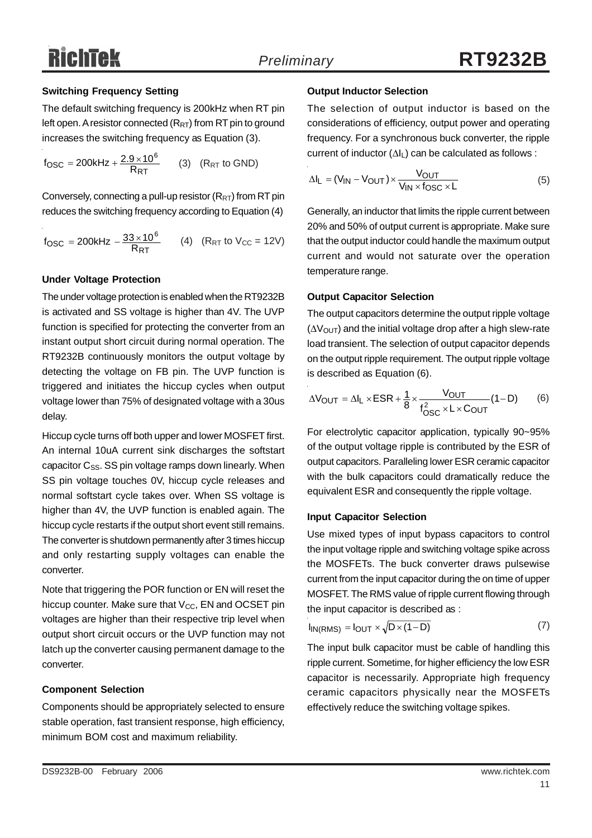#### **Switching Frequency Setting**

The default switching frequency is 200kHz when RT pin left open. A resistor connected  $(R_{RT})$  from RT pin to ground increases the switching frequency as Equation (3).

 $f_{\text{OSC}} = 200 \text{kHz} + \frac{2.9 \times 10^6}{R_{\text{RT}}}$  (3)  $(R_{\text{RT}} \text{ to GND})$ 

Conversely, connecting a pull-up resistor  $(R_{RT})$  from RT pin reduces the switching frequency according to Equation (4)

$$
f_{\text{OSC}} = 200 \text{kHz} - \frac{33 \times 10^6}{R_{\text{RT}}}
$$
 (4)  $(R_{\text{RT}} \text{ to } V_{\text{CC}} = 12 \text{V})$ 

#### **Under Voltage Protection**

The under voltage protection is enabled when the RT9232B is activated and SS voltage is higher than 4V. The UVP function is specified for protecting the converter from an instant output short circuit during normal operation. The RT9232B continuously monitors the output voltage by detecting the voltage on FB pin. The UVP function is triggered and initiates the hiccup cycles when output voltage lower than 75% of designated voltage with a 30us delay.

Hiccup cycle turns off both upper and lower MOSFET first. An internal 10uA current sink discharges the softstart capacitor  $C_{SS}$ . SS pin voltage ramps down linearly. When SS pin voltage touches 0V, hiccup cycle releases and normal softstart cycle takes over. When SS voltage is higher than 4V, the UVP function is enabled again. The hiccup cycle restarts if the output short event still remains. The converter is shutdown permanently after 3 times hiccup and only restarting supply voltages can enable the converter.

Note that triggering the POR function or EN will reset the hiccup counter. Make sure that  $V_{CC}$ , EN and OCSET pin voltages are higher than their respective trip level when output short circuit occurs or the UVP function may not latch up the converter causing permanent damage to the converter.

#### **Component Selection**

Components should be appropriately selected to ensure stable operation, fast transient response, high efficiency, minimum BOM cost and maximum reliability.

#### **Output Inductor Selection**

The selection of output inductor is based on the considerations of efficiency, output power and operating frequency. For a synchronous buck converter, the ripple current of inductor (ΔIL) can be calculated as follows :

$$
\Delta I_{L} = (V_{IN} - V_{OUT}) \times \frac{V_{OUT}}{V_{IN} \times f_{OSC} \times L}
$$
 (5)

Generally, an inductor that limits the ripple current between 20% and 50% of output current is appropriate. Make sure that the output inductor could handle the maximum output current and would not saturate over the operation temperature range.

#### **Output Capacitor Selection**

The output capacitors determine the output ripple voltage  $(\Delta V_{\text{OUT}})$  and the initial voltage drop after a high slew-rate load transient. The selection of output capacitor depends on the output ripple requirement. The output ripple voltage is described as Equation (6).

$$
\Delta V_{OUT} = \Delta I_L \times ESR + \frac{1}{8} \times \frac{V_{OUT}}{f_{OSC}^2 \times L \times C_{OUT}} (1 - D)
$$
 (6)

For electrolytic capacitor application, typically 90~95% of the output voltage ripple is contributed by the ESR of output capacitors. Paralleling lower ESR ceramic capacitor with the bulk capacitors could dramatically reduce the equivalent ESR and consequently the ripple voltage.

#### **Input Capacitor Selection**

Use mixed types of input bypass capacitors to control the input voltage ripple and switching voltage spike across the MOSFETs. The buck converter draws pulsewise current from the input capacitor during the on time of upper MOSFET. The RMS value of ripple current flowing through the input capacitor is described as :

$$
I_{IN(RMS)} = I_{OUT} \times \sqrt{D \times (1 - D)}
$$
 (7)

The input bulk capacitor must be cable of handling this ripple current. Sometime, for higher efficiency the low ESR capacitor is necessarily. Appropriate high frequency ceramic capacitors physically near the MOSFETs effectively reduce the switching voltage spikes.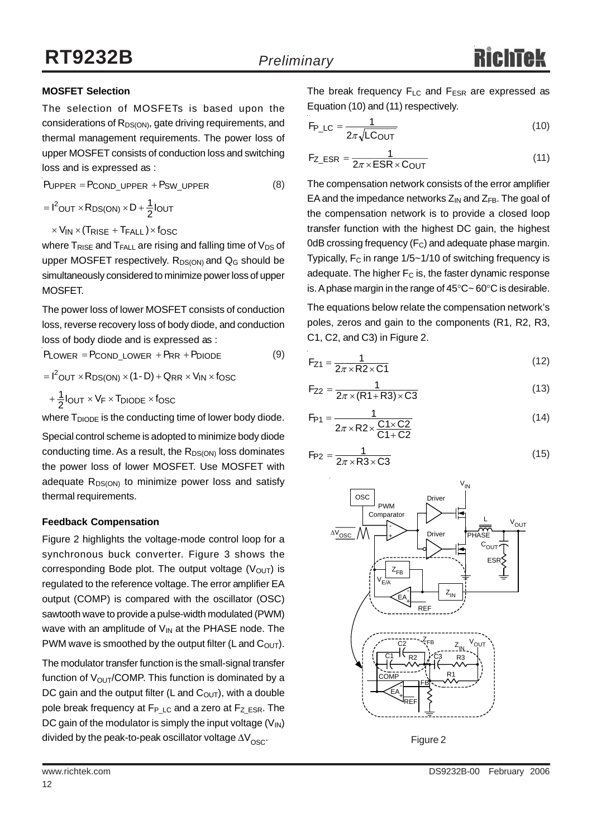### **MOSFET Selection**

The selection of MOSFETs is based upon the considerations of R<sub>DS(ON)</sub>, gate driving requirements, and thermal management requirements. The power loss of upper MOSFET consists of conduction loss and switching loss and is expressed as :

 $P_{UPPER} = P_{COND\_UPPER} + P_{SW\_UPPER}$  (8)

 $= I^2$ OUT  $\times R_{DS(ON)} \times D + \frac{1}{2} I_{OUT}$ 

 $\times$  V<sub>IN</sub>  $\times$  (Trise + T<sub>FALL</sub>)  $\times$  fosc

where  $T_{RISE}$  and  $T_{FALL}$  are rising and falling time of  $V_{DS}$  of upper MOSFET respectively.  $R_{DS(ON)}$  and  $Q_G$  should be simultaneously considered to minimize power loss of upper MOSFET.

The power loss of lower MOSFET consists of conduction loss, reverse recovery loss of body diode, and conduction loss of body diode and is expressed as :

 $P_{LOWER} = P_{COND\_LOWER} + P_{RR} + P_{DIODE}$  (9)

 $=$   $I^2$ OUT  $\times$  R<sub>DS(ON)</sub>  $\times$  (1 - D) + Q<sub>RR</sub>  $\times$  V<sub>IN</sub>  $\times$  f<sub>OSC</sub>

 $+\frac{1}{2}$ lout × V<sub>F</sub> × T<sub>DIODE</sub> × fosc

where  $T_{DIODE}$  is the conducting time of lower body diode.

Special control scheme is adopted to minimize body diode conducting time. As a result, the  $R_{DS(ON)}$  loss dominates the power loss of lower MOSFET. Use MOSFET with adequate  $R_{DS(ON)}$  to minimize power loss and satisfy thermal requirements.

### **Feedback Compensation**

Figure 2 highlights the voltage-mode control loop for a synchronous buck converter. Figure 3 shows the corresponding Bode plot. The output voltage  $(V<sub>OUT</sub>)$  is regulated to the reference voltage. The error amplifier EA output (COMP) is compared with the oscillator (OSC) sawtooth wave to provide a pulse-width modulated (PWM) wave with an amplitude of  $V_{IN}$  at the PHASE node. The PWM wave is smoothed by the output filter (L and  $C_{\text{OUT}}$ ).

The modulator transfer function is the small-signal transfer function of  $V_{\text{OUT}}$ /COMP. This function is dominated by a DC gain and the output filter (L and  $C<sub>OUT</sub>$ ), with a double pole break frequency at  $F_{P\text{ LC}}$  and a zero at  $F_{Z\text{ ESR}}$ . The DC gain of the modulator is simply the input voltage  $(V_{\text{IN}})$ divided by the peak-to-peak oscillator voltage  $\Delta V_{\infty}$ .

OUT P\_LC =  $\frac{1}{2\pi\sqrt{LC}}$  $F_{P\_LC} = \frac{1}{2\pi\sqrt{LC}}$ 

Equation (10) and (11) respectively.

$$
F_{Z\_ESR} = \frac{1}{2\pi \times ESR \times C_{OUT}} \tag{11}
$$

The break frequency  $F_{LC}$  and  $F_{ESR}$  are expressed as

 $\frac{1}{\sqrt{1-\frac{1}{\sqrt{1-\frac{1}{\sqrt{1-\frac{1}{\sqrt{1-\frac{1}{\sqrt{1-\frac{1}{\sqrt{1-\frac{1}{\sqrt{1-\frac{1}{\sqrt{1-\frac{1}{\sqrt{1-\frac{1}{\sqrt{1-\frac{1}{\sqrt{1-\frac{1}{\sqrt{1-\frac{1}{\sqrt{1-\frac{1}{\sqrt{1-\frac{1}{\sqrt{1-\frac{1}{\sqrt{1-\frac{1}{\sqrt{1-\frac{1}{\sqrt{1-\frac{1}{\sqrt{1-\frac{1}{\sqrt{1-\frac{1}{\sqrt{1-\frac{1}{\sqrt{1-\frac{1}{\sqrt{1-\frac{1}{\sqrt{1-\frac{1$ 

The compensation network consists of the error amplifier EA and the impedance networks  $Z_{IN}$  and  $Z_{FB}$ . The goal of the compensation network is to provide a closed loop transfer function with the highest DC gain, the highest 0dB crossing frequency  $(F_C)$  and adequate phase margin. Typically,  $F_C$  in range  $1/5 \sim 1/10$  of switching frequency is adequate. The higher  $F_C$  is, the faster dynamic response is. A phase margin in the range of 45°C~ 60°C is desirable.

The equations below relate the compensation network's poles, zeros and gain to the components (R1, R2, R3, C1, C2, and C3) in Figure 2.

$$
F_{Z1} = \frac{1}{2\pi \times R2 \times C1}
$$
 (12)

$$
F_{Z2} = \frac{1}{2\pi \times (R1 + R3) \times C3}
$$
 (13)

$$
F_{P1} = \frac{1}{2\pi \times R2 \times \frac{C1 \times C2}{C1 + C2}}
$$
 (14)

$$
F_{P2} = \frac{1}{2\pi \times R3 \times C3}
$$
 (15)



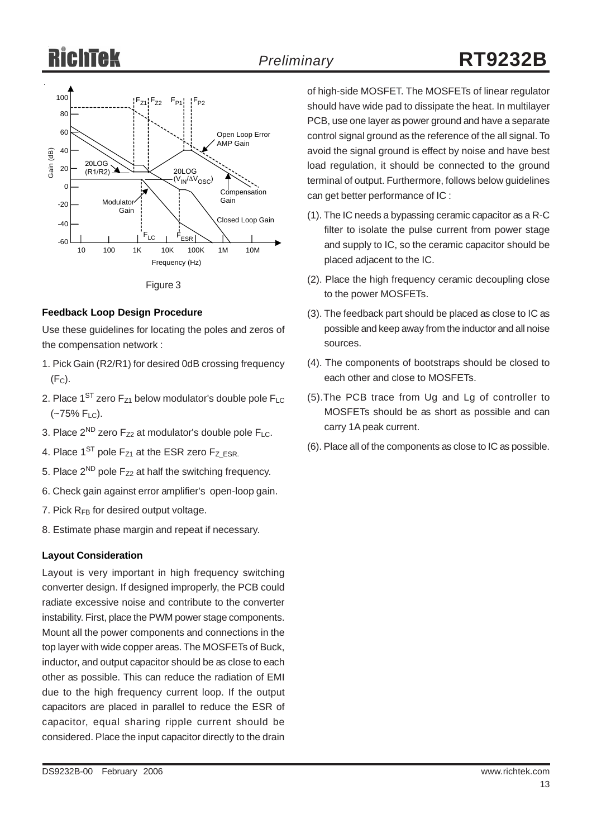# Ricl



Figure 3

#### **Feedback Loop Design Procedure**

Use these guidelines for locating the poles and zeros of the compensation network :

- 1. Pick Gain (R2/R1) for desired 0dB crossing frequency  $(F<sub>C</sub>)$ .
- 2. Place  $1^{ST}$  zero  $F_{Z1}$  below modulator's double pole  $F_{LC}$  $(-75\% \text{ F}_{LC})$ .
- 3. Place  $2^{ND}$  zero  $F_{Z2}$  at modulator's double pole  $F_{LC}$ .
- 4. Place  $1^{ST}$  pole  $F_{Z1}$  at the ESR zero  $F_{Z|ESR}$ .
- 5. Place  $2^{ND}$  pole  $F_{Z2}$  at half the switching frequency.
- 6. Check gain against error amplifier's open-loop gain.
- 7. Pick  $R_{FB}$  for desired output voltage.
- 8. Estimate phase margin and repeat if necessary.

### **Layout Consideration**

Layout is very important in high frequency switching converter design. If designed improperly, the PCB could radiate excessive noise and contribute to the converter instability. First, place the PWM power stage components. Mount all the power components and connections in the top layer with wide copper areas. The MOSFETs of Buck, inductor, and output capacitor should be as close to each other as possible. This can reduce the radiation of EMI due to the high frequency current loop. If the output capacitors are placed in parallel to reduce the ESR of capacitor, equal sharing ripple current should be considered. Place the input capacitor directly to the drain

of high-side MOSFET. The MOSFETs of linear regulator should have wide pad to dissipate the heat. In multilayer PCB, use one layer as power ground and have a separate control signal ground as the reference of the all signal. To avoid the signal ground is effect by noise and have best load regulation, it should be connected to the ground terminal of output. Furthermore, follows below guidelines can get better performance of IC :

- (1). The IC needs a bypassing ceramic capacitor as a R-C filter to isolate the pulse current from power stage and supply to IC, so the ceramic capacitor should be placed adjacent to the IC.
- (2). Place the high frequency ceramic decoupling close to the power MOSFETs.
- (3). The feedback part should be placed as close to IC as possible and keep away from the inductor and all noise sources.
- (4). The components of bootstraps should be closed to each other and close to MOSFETs.
- (5).The PCB trace from Ug and Lg of controller to MOSFETs should be as short as possible and can carry 1A peak current.
- (6). Place all of the components as close to IC as possible.